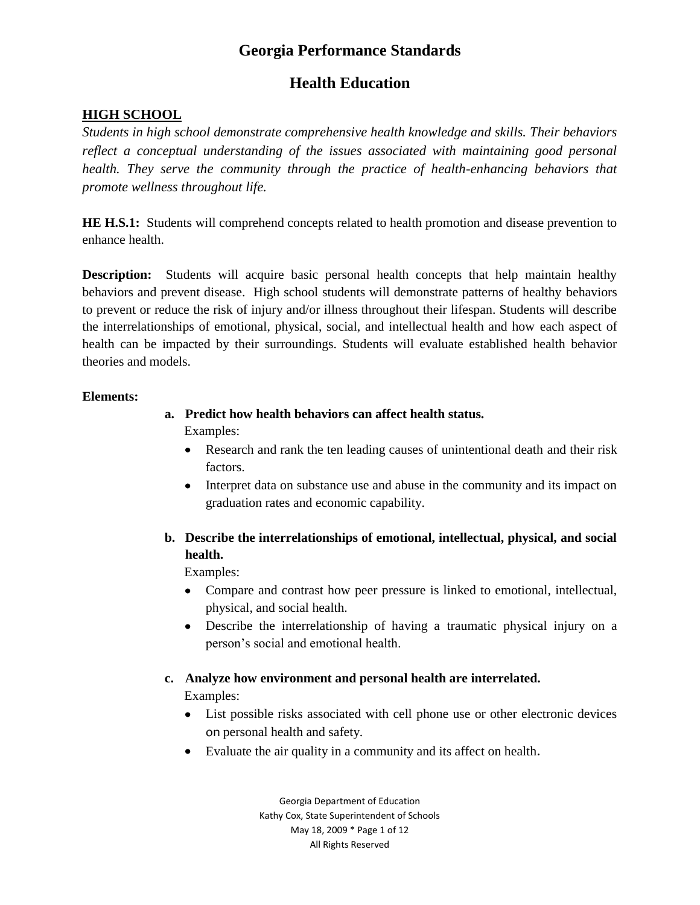## **Health Education**

#### **HIGH SCHOOL**

*Students in high school demonstrate comprehensive health knowledge and skills. Their behaviors reflect a conceptual understanding of the issues associated with maintaining good personal health. They serve the community through the practice of health-enhancing behaviors that promote wellness throughout life.*

**HE H.S.1:** Students will comprehend concepts related to health promotion and disease prevention to enhance health.

**Description:** Students will acquire basic personal health concepts that help maintain healthy behaviors and prevent disease. High school students will demonstrate patterns of healthy behaviors to prevent or reduce the risk of injury and/or illness throughout their lifespan. Students will describe the interrelationships of emotional, physical, social, and intellectual health and how each aspect of health can be impacted by their surroundings. Students will evaluate established health behavior theories and models.

#### **Elements:**

#### **a. Predict how health behaviors can affect health status.**

Examples:

- Research and rank the ten leading causes of unintentional death and their risk factors.
- Interpret data on substance use and abuse in the community and its impact on graduation rates and economic capability.

### **b. Describe the interrelationships of emotional, intellectual, physical, and social health.**

Examples:

- Compare and contrast how peer pressure is linked to emotional, intellectual, physical, and social health.
- Describe the interrelationship of having a traumatic physical injury on a person"s social and emotional health.

### **c. Analyze how environment and personal health are interrelated.**

Examples:

- List possible risks associated with cell phone use or other electronic devices on personal health and safety.
- Evaluate the air quality in a community and its affect on health.

Georgia Department of Education Kathy Cox, State Superintendent of Schools May 18, 2009 \* Page 1 of 12 All Rights Reserved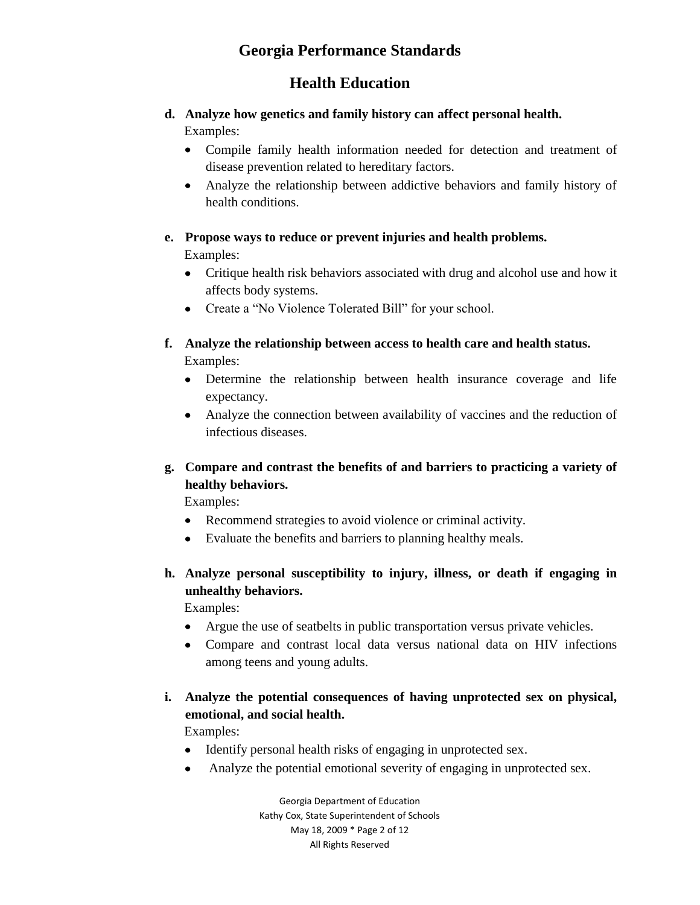## **Health Education**

#### **d. Analyze how genetics and family history can affect personal health.** Examples:

Compile family health information needed for detection and treatment of disease prevention related to hereditary factors.

Analyze the relationship between addictive behaviors and family history of health conditions.

#### **e. Propose ways to reduce or prevent injuries and health problems.**

Examples:

- Critique health risk behaviors associated with drug and alcohol use and how it affects body systems.
- Create a "No Violence Tolerated Bill" for your school.
- **f. Analyze the relationship between access to health care and health status.** Examples:
	- Determine the relationship between health insurance coverage and life expectancy.
	- Analyze the connection between availability of vaccines and the reduction of infectious diseases.

#### **g. Compare and contrast the benefits of and barriers to practicing a variety of healthy behaviors.**

Examples:

- Recommend strategies to avoid violence or criminal activity.
- Evaluate the benefits and barriers to planning healthy meals.
- **h. Analyze personal susceptibility to injury, illness, or death if engaging in unhealthy behaviors.**

Examples:

- Argue the use of seatbelts in public transportation versus private vehicles.
- Compare and contrast local data versus national data on HIV infections among teens and young adults.
- **i. Analyze the potential consequences of having unprotected sex on physical, emotional, and social health.**

Examples:

- Identify personal health risks of engaging in unprotected sex.
- Analyze the potential emotional severity of engaging in unprotected sex.  $\bullet$

Georgia Department of Education Kathy Cox, State Superintendent of Schools May 18, 2009 \* Page 2 of 12 All Rights Reserved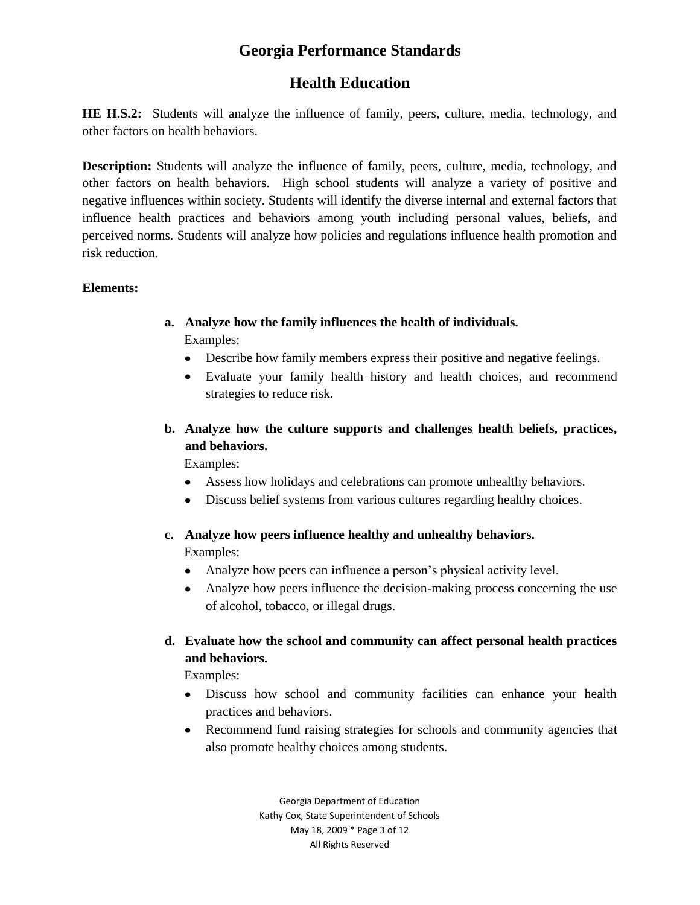# **Health Education**

**HE H.S.2:** Students will analyze the influence of family, peers, culture, media, technology, and other factors on health behaviors.

**Description:** Students will analyze the influence of family, peers, culture, media, technology, and other factors on health behaviors. High school students will analyze a variety of positive and negative influences within society. Students will identify the diverse internal and external factors that influence health practices and behaviors among youth including personal values, beliefs, and perceived norms. Students will analyze how policies and regulations influence health promotion and risk reduction.

#### **Elements:**

- **a. Analyze how the family influences the health of individuals.** Examples:
	- Describe how family members express their positive and negative feelings.
	- Evaluate your family health history and health choices, and recommend strategies to reduce risk.
- **b. Analyze how the culture supports and challenges health beliefs, practices, and behaviors.**

Examples:

- Assess how holidays and celebrations can promote unhealthy behaviors.
- Discuss belief systems from various cultures regarding healthy choices.
- **c. Analyze how peers influence healthy and unhealthy behaviors.** Examples:
	- Analyze how peers can influence a person's physical activity level.
	- Analyze how peers influence the decision-making process concerning the use of alcohol, tobacco, or illegal drugs.
- **d. Evaluate how the school and community can affect personal health practices and behaviors.**

Examples:

- Discuss how school and community facilities can enhance your health practices and behaviors.
- Recommend fund raising strategies for schools and community agencies that also promote healthy choices among students.

Georgia Department of Education Kathy Cox, State Superintendent of Schools May 18, 2009 \* Page 3 of 12 All Rights Reserved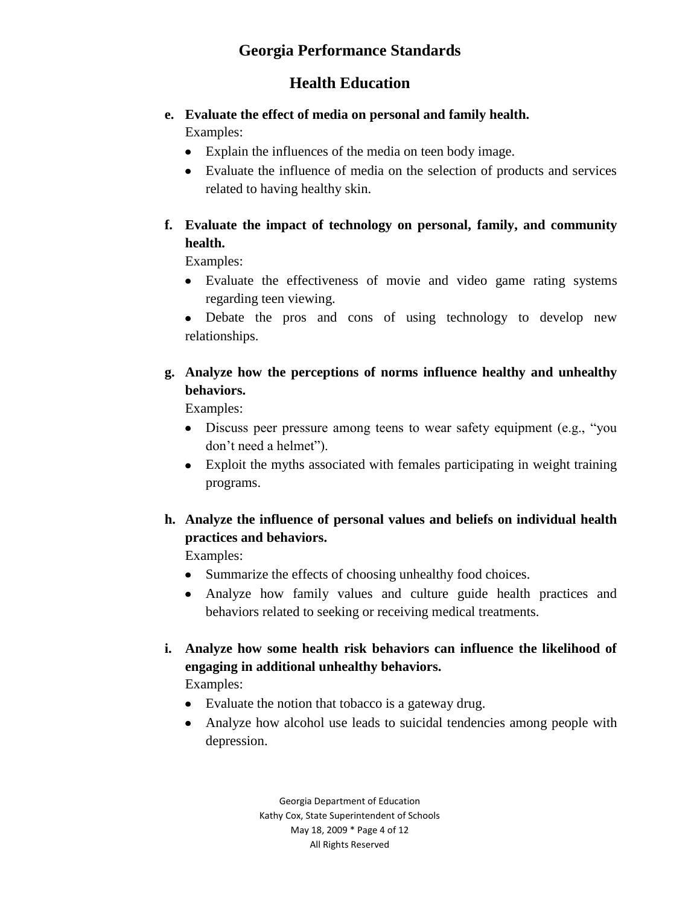## **Health Education**

#### **e. Evaluate the effect of media on personal and family health.** Examples:

- Explain the influences of the media on teen body image.
- Evaluate the influence of media on the selection of products and services related to having healthy skin.
- **f. Evaluate the impact of technology on personal, family, and community health.**

Examples:

Evaluate the effectiveness of movie and video game rating systems regarding teen viewing.

Debate the pros and cons of using technology to develop new relationships.

### **g. Analyze how the perceptions of norms influence healthy and unhealthy behaviors.**

**Examples:** 

- Discuss peer pressure among teens to wear safety equipment (e.g., "you don"t need a helmet").
- Exploit the myths associated with females participating in weight training programs.
- **h. Analyze the influence of personal values and beliefs on individual health practices and behaviors.**

Examples:

- Summarize the effects of choosing unhealthy food choices.
- Analyze how family values and culture guide health practices and behaviors related to seeking or receiving medical treatments.

# **i. Analyze how some health risk behaviors can influence the likelihood of engaging in additional unhealthy behaviors.**

Examples:

- Evaluate the notion that tobacco is a gateway drug.
- Analyze how alcohol use leads to suicidal tendencies among people with depression.

Georgia Department of Education Kathy Cox, State Superintendent of Schools May 18, 2009 \* Page 4 of 12 All Rights Reserved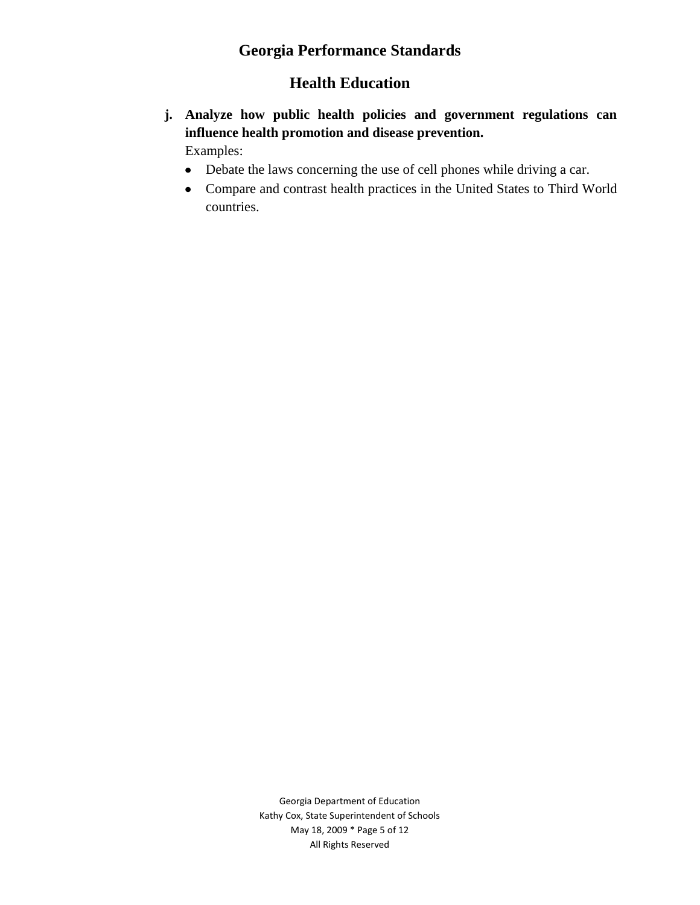# **Health Education**

- **j. Analyze how public health policies and government regulations can influence health promotion and disease prevention.** Examples:
	- Debate the laws concerning the use of cell phones while driving a car.
	- Compare and contrast health practices in the United States to Third World countries.

Georgia Department of Education Kathy Cox, State Superintendent of Schools May 18, 2009 \* Page 5 of 12 All Rights Reserved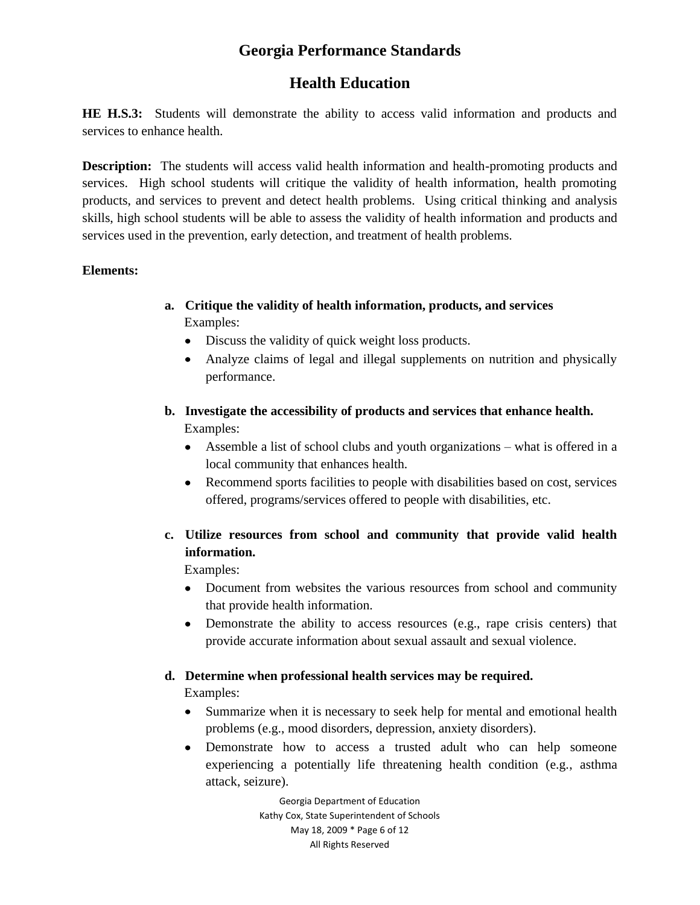# **Health Education**

**HE H.S.3:** Students will demonstrate the ability to access valid information and products and services to enhance health.

**Description:** The students will access valid health information and health-promoting products and services. High school students will critique the validity of health information, health promoting products, and services to prevent and detect health problems. Using critical thinking and analysis skills, high school students will be able to assess the validity of health information and products and services used in the prevention, early detection, and treatment of health problems.

#### **Elements:**

- **a. Critique the validity of health information, products, and services** Examples:
	- Discuss the validity of quick weight loss products.
	- Analyze claims of legal and illegal supplements on nutrition and physically performance.
- **b. Investigate the accessibility of products and services that enhance health.** Examples:
	- Assemble a list of school clubs and youth organizations what is offered in a local community that enhances health.
	- Recommend sports facilities to people with disabilities based on cost, services offered, programs/services offered to people with disabilities, etc.
- **c. Utilize resources from school and community that provide valid health information.**

Examples:

- Document from websites the various resources from school and community that provide health information.
- Demonstrate the ability to access resources (e.g., rape crisis centers) that provide accurate information about sexual assault and sexual violence.

### **d. Determine when professional health services may be required.**

Examples:

- Summarize when it is necessary to seek help for mental and emotional health problems (e.g., mood disorders, depression, anxiety disorders).
- Demonstrate how to access a trusted adult who can help someone experiencing a potentially life threatening health condition (e.g., asthma attack, seizure).

Georgia Department of Education Kathy Cox, State Superintendent of Schools May 18, 2009 \* Page 6 of 12 All Rights Reserved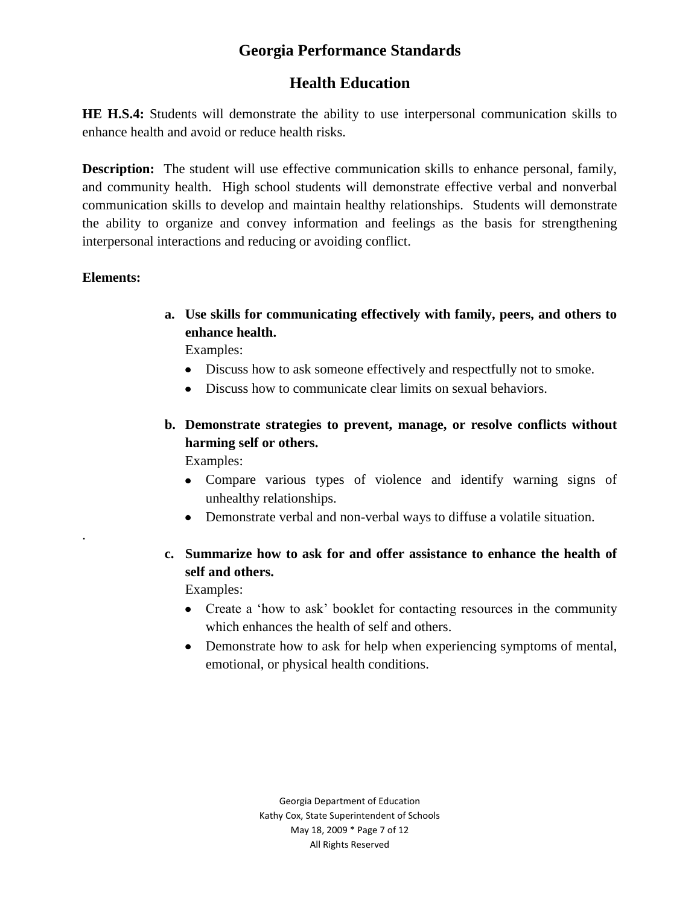# **Health Education**

**HE H.S.4:** Students will demonstrate the ability to use interpersonal communication skills to enhance health and avoid or reduce health risks.

**Description:** The student will use effective communication skills to enhance personal, family, and community health. High school students will demonstrate effective verbal and nonverbal communication skills to develop and maintain healthy relationships. Students will demonstrate the ability to organize and convey information and feelings as the basis for strengthening interpersonal interactions and reducing or avoiding conflict.

#### **Elements:**

.

**a. Use skills for communicating effectively with family, peers, and others to enhance health.**

Examples:

- Discuss how to ask someone effectively and respectfully not to smoke.
- Discuss how to communicate clear limits on sexual behaviors.
- **b. Demonstrate strategies to prevent, manage, or resolve conflicts without harming self or others.**  Examples:
	- Compare various types of violence and identify warning signs of unhealthy relationships.
	- Demonstrate verbal and non-verbal ways to diffuse a volatile situation.
- **c. Summarize how to ask for and offer assistance to enhance the health of self and others.**

Examples:

- Create a 'how to ask' booklet for contacting resources in the community which enhances the health of self and others.
- Demonstrate how to ask for help when experiencing symptoms of mental, emotional, or physical health conditions.

Georgia Department of Education Kathy Cox, State Superintendent of Schools May 18, 2009 \* Page 7 of 12 All Rights Reserved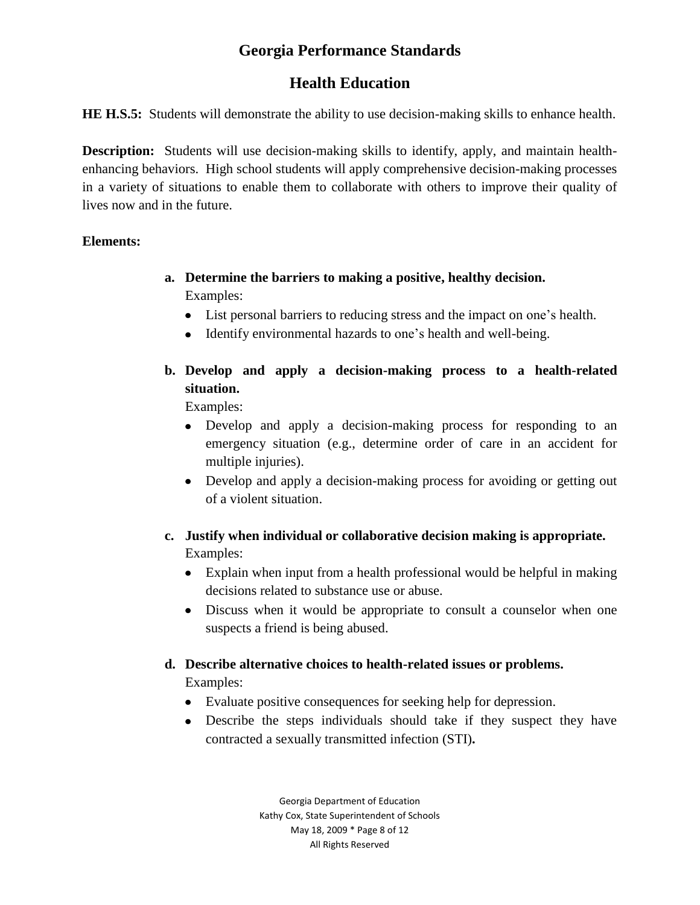# **Health Education**

**HE H.S.5:** Students will demonstrate the ability to use decision-making skills to enhance health.

**Description:** Students will use decision-making skills to identify, apply, and maintain healthenhancing behaviors. High school students will apply comprehensive decision-making processes in a variety of situations to enable them to collaborate with others to improve their quality of lives now and in the future.

#### **Elements:**

- **a. Determine the barriers to making a positive, healthy decision.** Examples:
	- List personal barriers to reducing stress and the impact on one"s health.
	- Identify environmental hazards to one's health and well-being.
- **b. Develop and apply a decision-making process to a health-related situation.**

Examples:

- Develop and apply a decision-making process for responding to an emergency situation (e.g., determine order of care in an accident for multiple injuries).
- Develop and apply a decision-making process for avoiding or getting out of a violent situation.
- **c. Justify when individual or collaborative decision making is appropriate.** Examples:
	- Explain when input from a health professional would be helpful in making decisions related to substance use or abuse.
	- Discuss when it would be appropriate to consult a counselor when one suspects a friend is being abused.

## **d. Describe alternative choices to health-related issues or problems.**

Examples:

- Evaluate positive consequences for seeking help for depression.
- Describe the steps individuals should take if they suspect they have contracted a sexually transmitted infection (STI)**.**

Georgia Department of Education Kathy Cox, State Superintendent of Schools May 18, 2009 \* Page 8 of 12 All Rights Reserved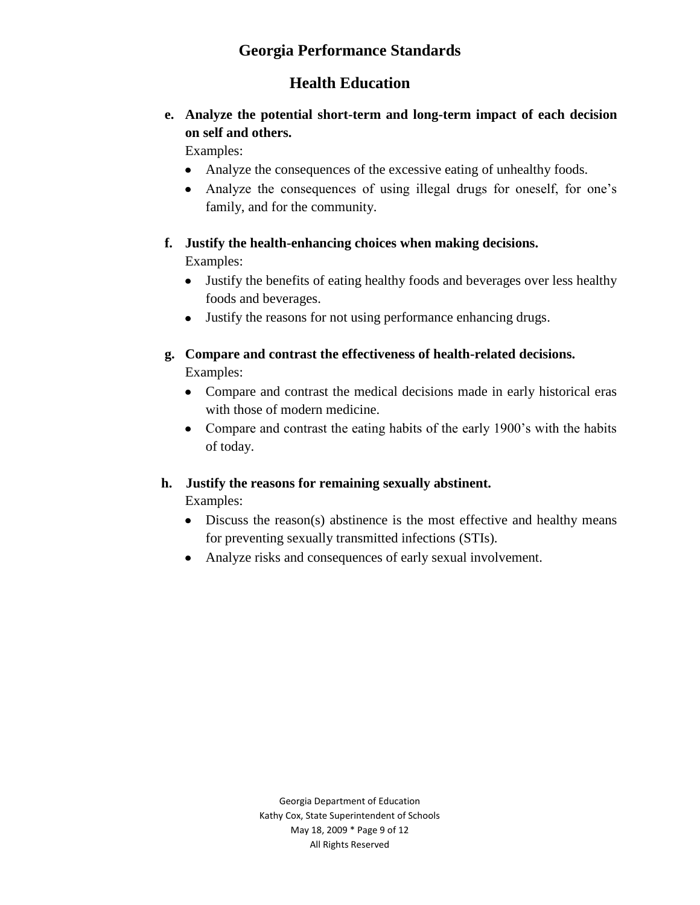# **Health Education**

## **e. Analyze the potential short-term and long-term impact of each decision on self and others.**

Examples:

- Analyze the consequences of the excessive eating of unhealthy foods.
- Analyze the consequences of using illegal drugs for oneself, for one"s family, and for the community.

#### **f. Justify the health-enhancing choices when making decisions.** Examples:

- Justify the benefits of eating healthy foods and beverages over less healthy foods and beverages.
- Justify the reasons for not using performance enhancing drugs.
- **g. Compare and contrast the effectiveness of health-related decisions.** Examples:
	- Compare and contrast the medical decisions made in early historical eras with those of modern medicine.
	- Compare and contrast the eating habits of the early 1900's with the habits of today.

#### **h. Justify the reasons for remaining sexually abstinent.**

**Examples:** 

- Discuss the reason(s) abstinence is the most effective and healthy means for preventing sexually transmitted infections (STIs).
- Analyze risks and consequences of early sexual involvement.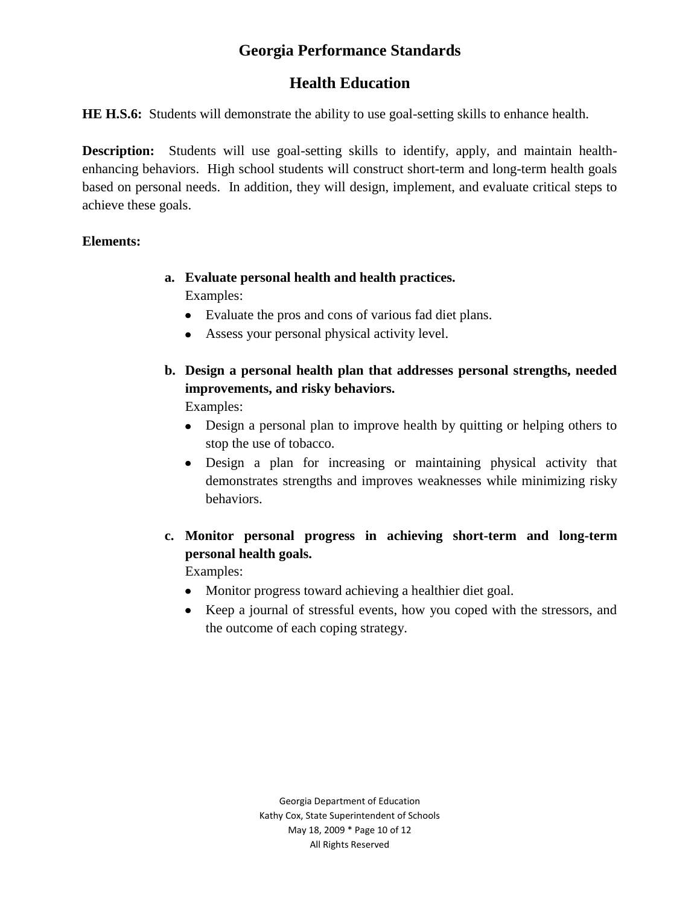# **Health Education**

**HE H.S.6:** Students will demonstrate the ability to use goal-setting skills to enhance health.

**Description:** Students will use goal-setting skills to identify, apply, and maintain healthenhancing behaviors. High school students will construct short-term and long-term health goals based on personal needs. In addition, they will design, implement, and evaluate critical steps to achieve these goals.

#### **Elements:**

- **a. Evaluate personal health and health practices.** Examples:
	- Evaluate the pros and cons of various fad diet plans.
	- Assess your personal physical activity level.
- **b. Design a personal health plan that addresses personal strengths, needed improvements, and risky behaviors.**

Examples:

- Design a personal plan to improve health by quitting or helping others to stop the use of tobacco.
- Design a plan for increasing or maintaining physical activity that demonstrates strengths and improves weaknesses while minimizing risky behaviors.
- **c. Monitor personal progress in achieving short-term and long-term personal health goals.**

Examples:

- Monitor progress toward achieving a healthier diet goal.
- Keep a journal of stressful events, how you coped with the stressors, and the outcome of each coping strategy.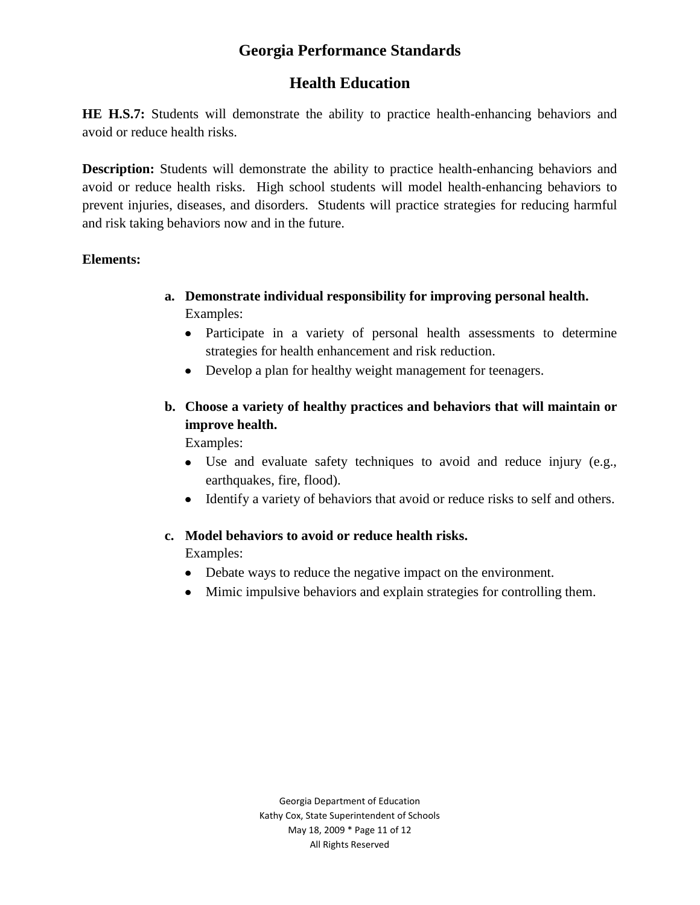# **Health Education**

**HE H.S.7:** Students will demonstrate the ability to practice health-enhancing behaviors and avoid or reduce health risks.

**Description:** Students will demonstrate the ability to practice health-enhancing behaviors and avoid or reduce health risks. High school students will model health-enhancing behaviors to prevent injuries, diseases, and disorders. Students will practice strategies for reducing harmful and risk taking behaviors now and in the future.

#### **Elements:**

- **a. Demonstrate individual responsibility for improving personal health.** Examples:
	- Participate in a variety of personal health assessments to determine strategies for health enhancement and risk reduction.
	- Develop a plan for healthy weight management for teenagers.
- **b. Choose a variety of healthy practices and behaviors that will maintain or improve health.**

Examples:

- Use and evaluate safety techniques to avoid and reduce injury (e.g., earthquakes, fire, flood).
- Identify a variety of behaviors that avoid or reduce risks to self and others.

#### **c. Model behaviors to avoid or reduce health risks.**

Examples:

- Debate ways to reduce the negative impact on the environment.
- Mimic impulsive behaviors and explain strategies for controlling them.

Georgia Department of Education Kathy Cox, State Superintendent of Schools May 18, 2009 \* Page 11 of 12 All Rights Reserved